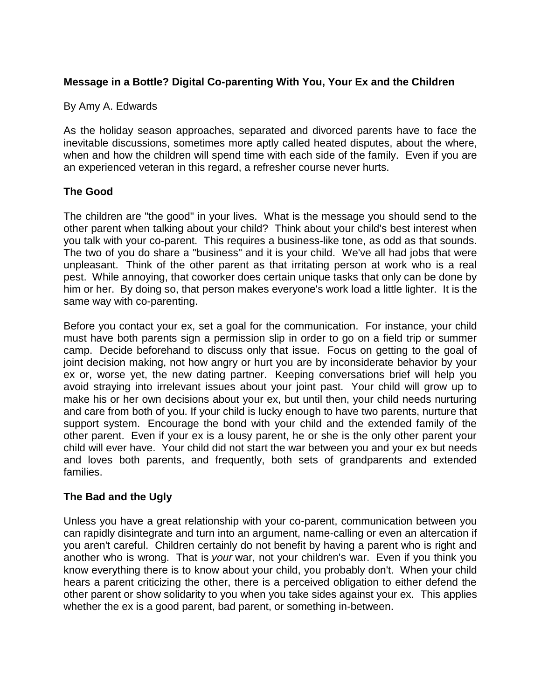# **Message in a Bottle? Digital Co-parenting With You, Your Ex and the Children**

### By Amy A. Edwards

As the holiday season approaches, separated and divorced parents have to face the inevitable discussions, sometimes more aptly called heated disputes, about the where, when and how the children will spend time with each side of the family. Even if you are an experienced veteran in this regard, a refresher course never hurts.

## **The Good**

The children are "the good" in your lives. What is the message you should send to the other parent when talking about your child? Think about your child's best interest when you talk with your co-parent. This requires a business-like tone, as odd as that sounds. The two of you do share a "business" and it is your child. We've all had jobs that were unpleasant. Think of the other parent as that irritating person at work who is a real pest. While annoying, that coworker does certain unique tasks that only can be done by him or her. By doing so, that person makes everyone's work load a little lighter. It is the same way with co-parenting.

Before you contact your ex, set a goal for the communication. For instance, your child must have both parents sign a permission slip in order to go on a field trip or summer camp. Decide beforehand to discuss only that issue. Focus on getting to the goal of joint decision making, not how angry or hurt you are by inconsiderate behavior by your ex or, worse yet, the new dating partner. Keeping conversations brief will help you avoid straying into irrelevant issues about your joint past. Your child will grow up to make his or her own decisions about your ex, but until then, your child needs nurturing and care from both of you. If your child is lucky enough to have two parents, nurture that support system. Encourage the bond with your child and the extended family of the other parent. Even if your ex is a lousy parent, he or she is the only other parent your child will ever have. Your child did not start the war between you and your ex but needs and loves both parents, and frequently, both sets of grandparents and extended families.

### **The Bad and the Ugly**

Unless you have a great relationship with your co-parent, communication between you can rapidly disintegrate and turn into an argument, name-calling or even an altercation if you aren't careful. Children certainly do not benefit by having a parent who is right and another who is wrong. That is *your* war, not your children's war. Even if you think you know everything there is to know about your child, you probably don't. When your child hears a parent criticizing the other, there is a perceived obligation to either defend the other parent or show solidarity to you when you take sides against your ex. This applies whether the ex is a good parent, bad parent, or something in-between.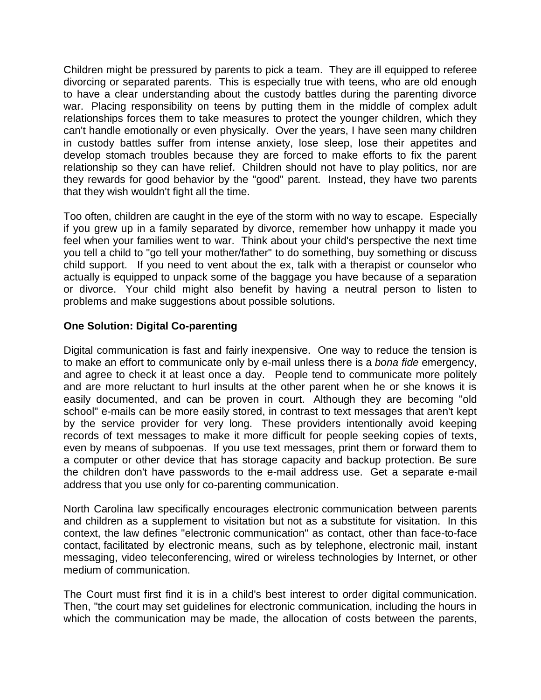Children might be pressured by parents to pick a team. They are ill equipped to referee divorcing or separated parents. This is especially true with teens, who are old enough to have a clear understanding about the custody battles during the parenting divorce war. Placing responsibility on teens by putting them in the middle of complex adult relationships forces them to take measures to protect the younger children, which they can't handle emotionally or even physically. Over the years, I have seen many children in custody battles suffer from intense anxiety, lose sleep, lose their appetites and develop stomach troubles because they are forced to make efforts to fix the parent relationship so they can have relief. Children should not have to play politics, nor are they rewards for good behavior by the "good" parent. Instead, they have two parents that they wish wouldn't fight all the time.

Too often, children are caught in the eye of the storm with no way to escape. Especially if you grew up in a family separated by divorce, remember how unhappy it made you feel when your families went to war. Think about your child's perspective the next time you tell a child to "go tell your mother/father" to do something, buy something or discuss child support. If you need to vent about the ex, talk with a therapist or counselor who actually is equipped to unpack some of the baggage you have because of a separation or divorce. Your child might also benefit by having a neutral person to listen to problems and make suggestions about possible solutions.

## **One Solution: Digital Co-parenting**

Digital communication is fast and fairly inexpensive. One way to reduce the tension is to make an effort to communicate only by e-mail unless there is a *bona fide* emergency, and agree to check it at least once a day. People tend to communicate more politely and are more reluctant to hurl insults at the other parent when he or she knows it is easily documented, and can be proven in court. Although they are becoming "old school" e-mails can be more easily stored, in contrast to text messages that aren't kept by the service provider for very long. These providers intentionally avoid keeping records of text messages to make it more difficult for people seeking copies of texts, even by means of subpoenas. If you use text messages, print them or forward them to a computer or other device that has storage capacity and backup protection. Be sure the children don't have passwords to the e-mail address use. Get a separate e-mail address that you use only for co-parenting communication.

North Carolina law specifically encourages electronic communication between parents and children as a supplement to visitation but not as a substitute for visitation. In this context, the law defines "electronic communication" as contact, other than face-to-face contact, facilitated by electronic means, such as by telephone, electronic mail, instant messaging, video teleconferencing, wired or wireless technologies by Internet, or other medium of communication.

The Court must first find it is in a child's best interest to order digital communication. Then, "the court may set guidelines for electronic communication, including the hours in which the communication may be made, the allocation of costs between the parents,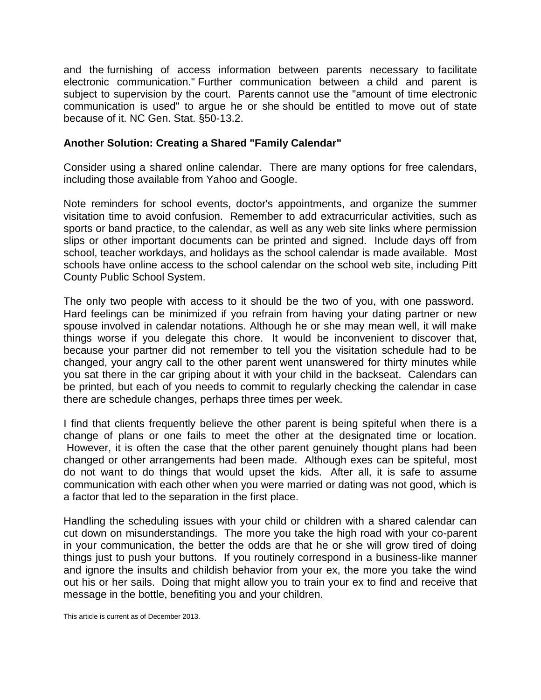and the furnishing of access information between parents necessary to facilitate electronic communication." Further communication between a child and parent is subject to supervision by the court. Parents cannot use the "amount of time electronic communication is used" to argue he or she should be entitled to move out of state because of it. NC Gen. Stat. §50-13.2.

#### **Another Solution: Creating a Shared "Family Calendar"**

Consider using a shared online calendar. There are many options for free calendars, including those available from [Yahoo](http://dir.yahoo.com/reference/calendars/?skw=yahoo+online+calendar) and [Google.](https://support.google.com/calendar/answer/2465776?hl=en)

Note reminders for school events, doctor's appointments, and organize the summer visitation time to avoid confusion. Remember to add extracurricular activities, such as sports or band practice, to the calendar, as well as any web site links where permission slips or other important documents can be printed and signed. Include days off from school, teacher workdays, and holidays as the school calendar is made available. Most schools have online access to the school calendar on the school web site, including [Pitt](http://www.pitt.k12.nc.us/cms/lib6/NC01001178/Centricity/Domain/1/Calendar2013-14%20Final.pdf)  [County Public School System.](http://www.pitt.k12.nc.us/cms/lib6/NC01001178/Centricity/Domain/1/Calendar2013-14%20Final.pdf)

The only two people with access to it should be the two of you, with one password. Hard feelings can be minimized if you refrain from having your dating partner or new spouse involved in calendar notations. Although he or she may mean well, it will make things worse if you delegate this chore. It would be inconvenient to discover that, because your partner did not remember to tell you the visitation schedule had to be changed, your angry call to the other parent went unanswered for thirty minutes while you sat there in the car griping about it with your child in the backseat. Calendars can be printed, but each of you needs to commit to regularly checking the calendar in case there are schedule changes, perhaps three times per week.

I find that clients frequently believe the other parent is being spiteful when there is a change of plans or one fails to meet the other at the designated time or location. However, it is often the case that the other parent genuinely thought plans had been changed or other arrangements had been made. Although exes can be spiteful, most do not want to do things that would upset the kids. After all, it is safe to assume communication with each other when you were married or dating was not good, which is a factor that led to the separation in the first place.

Handling the scheduling issues with your child or children with a shared calendar can cut down on misunderstandings. The more you take the high road with your co-parent in your communication, the better the odds are that he or she will grow tired of doing things just to push your buttons. If you routinely correspond in a business-like manner and ignore the insults and childish behavior from your ex, the more you take the wind out his or her sails. Doing that might allow you to train your ex to find and receive that message in the bottle, benefiting you and your children.